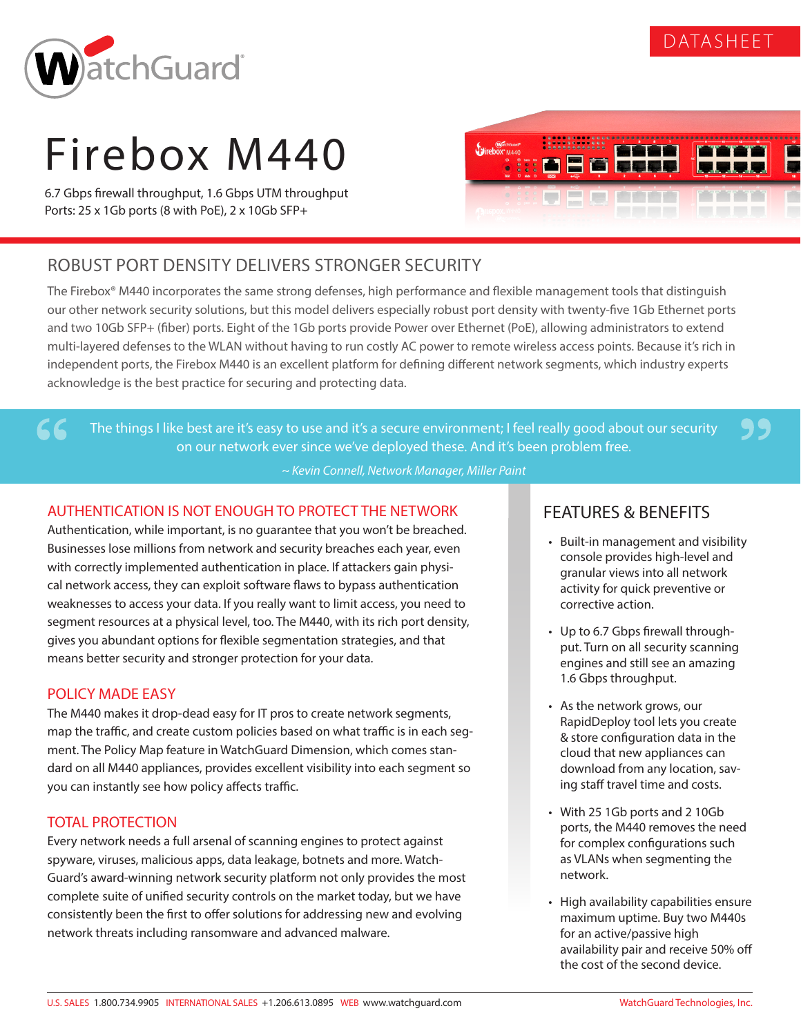

99



# Firebox M440

6.7 Gbps firewall throughput, 1.6 Gbps UTM throughput Ports: 25 x 1Gb ports (8 with PoE), 2 x 10Gb SFP+



# ROBUST PORT DENSITY DELIVERS STRONGER SECURITY

The Firebox® M440 incorporates the same strong defenses, high performance and flexible management tools that distinguish our other network security solutions, but this model delivers especially robust port density with twenty-five 1Gb Ethernet ports and two 10Gb SFP+ (fiber) ports. Eight of the 1Gb ports provide Power over Ethernet (PoE), allowing administrators to extend multi-layered defenses to the WLAN without having to run costly AC power to remote wireless access points. Because it's rich in independent ports, the Firebox M440 is an excellent platform for defining different network segments, which industry experts acknowledge is the best practice for securing and protecting data.

The things I like best are it's easy to use and it's a secure environment; I feel really good about our security on our network ever since we've deployed these. And it's been problem free.

*~ Kevin Connell, Network Manager, Miller Paint*

## AUTHENTICATION IS NOT ENOUGH TO PROTECT THE NETWORK

Authentication, while important, is no guarantee that you won't be breached. Businesses lose millions from network and security breaches each year, even with correctly implemented authentication in place. If attackers gain physical network access, they can exploit software flaws to bypass authentication weaknesses to access your data. If you really want to limit access, you need to segment resources at a physical level, too. The M440, with its rich port density, gives you abundant options for flexible segmentation strategies, and that means better security and stronger protection for your data.

### POLICY MADE EASY

66

The M440 makes it drop-dead easy for IT pros to create network segments, map the traffic, and create custom policies based on what traffic is in each segment. The Policy Map feature in WatchGuard Dimension, which comes standard on all M440 appliances, provides excellent visibility into each segment so you can instantly see how policy affects traffic.

### TOTAL PROTECTION

Every network needs a full arsenal of scanning engines to protect against spyware, viruses, malicious apps, data leakage, botnets and more. Watch-Guard's award-winning network security platform not only provides the most complete suite of unified security controls on the market today, but we have consistently been the first to offer solutions for addressing new and evolving network threats including ransomware and advanced malware.

# FEATURES & BENEFITS

- Built-in management and visibility console provides high-level and granular views into all network activity for quick preventive or corrective action.
- Up to 6.7 Gbps firewall throughput. Turn on all security scanning engines and still see an amazing 1.6 Gbps throughput.
- As the network grows, our RapidDeploy tool lets you create & store configuration data in the cloud that new appliances can download from any location, saving staff travel time and costs.
- With 25 1Gb ports and 2 10Gb ports, the M440 removes the need for complex configurations such as VLANs when segmenting the network.
- High availability capabilities ensure maximum uptime. Buy two M440s for an active/passive high availability pair and receive 50% off the cost of the second device.